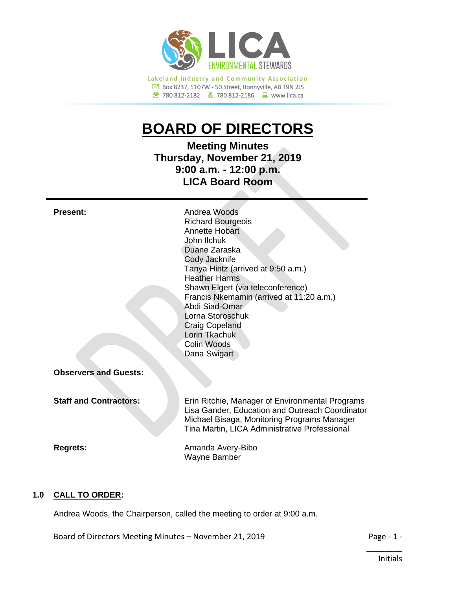

Box 8237, 5107W - 50 Street, Bonnyville, AB T9N 2J5 780 812-2182780 812-2186www.lica.ca

# **BOARD OF DIRECTORS**

**Meeting Minutes Thursday, November 21, 2019 9:00 a.m. - 12:00 p.m. LICA Board Room**

| <b>Present:</b>               | Andrea Woods<br><b>Richard Bourgeois</b><br>Annette Hobart<br>John Ilchuk<br>Duane Zaraska<br>Cody Jacknife<br>Tanya Hintz (arrived at 9:50 a.m.)<br><b>Heather Harms</b><br>Shawn Elgert (via teleconference)<br>Francis Nkemamin (arrived at 11:20 a.m.)<br>Abdi Siad-Omar<br>Lorna Storoschuk<br><b>Craig Copeland</b><br>Lorin Tkachuk<br>Colin Woods<br>Dana Swigart |
|-------------------------------|---------------------------------------------------------------------------------------------------------------------------------------------------------------------------------------------------------------------------------------------------------------------------------------------------------------------------------------------------------------------------|
| <b>Observers and Guests:</b>  |                                                                                                                                                                                                                                                                                                                                                                           |
| <b>Staff and Contractors:</b> | Erin Ritchie, Manager of Environmental Programs<br>Lisa Gander, Education and Outreach Coordinator<br>Michael Bisaga, Monitoring Programs Manager<br>Tina Martin, LICA Administrative Professional                                                                                                                                                                        |
| <b>Regrets:</b>               | Amanda Avery-Bibo<br>Wayne Bamber                                                                                                                                                                                                                                                                                                                                         |

# **1.0 CALL TO ORDER:**

Andrea Woods, the Chairperson, called the meeting to order at 9:00 a.m.

Board of Directors Meeting Minutes – November 21, 2019 Page - 1 -

\_\_\_\_\_\_\_\_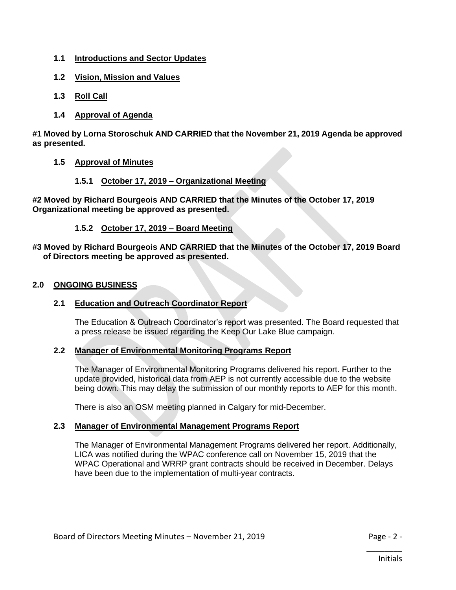- **1.1 Introductions and Sector Updates**
- **1.2 Vision, Mission and Values**
- **1.3 Roll Call**
- **1.4 Approval of Agenda**

**#1 Moved by Lorna Storoschuk AND CARRIED that the November 21, 2019 Agenda be approved as presented.**

- **1.5 Approval of Minutes**
	- **1.5.1 October 17, 2019 – Organizational Meeting**

**#2 Moved by Richard Bourgeois AND CARRIED that the Minutes of the October 17, 2019 Organizational meeting be approved as presented.**

## **1.5.2 October 17, 2019 – Board Meeting**

## **#3 Moved by Richard Bourgeois AND CARRIED that the Minutes of the October 17, 2019 Board of Directors meeting be approved as presented.**

## **2.0 ONGOING BUSINESS**

# **2.1 Education and Outreach Coordinator Report**

The Education & Outreach Coordinator's report was presented. The Board requested that a press release be issued regarding the Keep Our Lake Blue campaign.

## **2.2 Manager of Environmental Monitoring Programs Report**

The Manager of Environmental Monitoring Programs delivered his report. Further to the update provided, historical data from AEP is not currently accessible due to the website being down. This may delay the submission of our monthly reports to AEP for this month.

There is also an OSM meeting planned in Calgary for mid-December.

# **2.3 Manager of Environmental Management Programs Report**

The Manager of Environmental Management Programs delivered her report. Additionally, LICA was notified during the WPAC conference call on November 15, 2019 that the WPAC Operational and WRRP grant contracts should be received in December. Delays have been due to the implementation of multi-year contracts.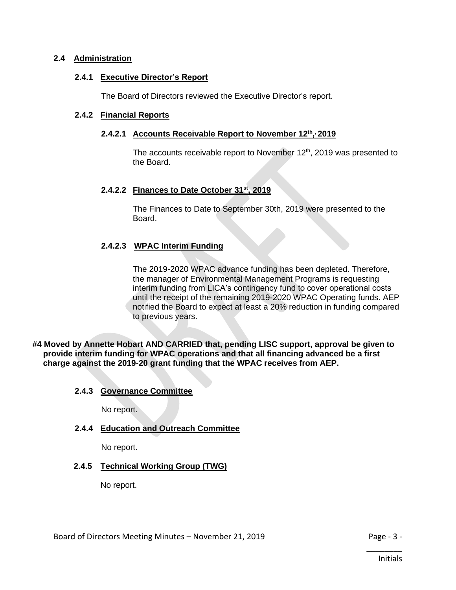## **2.4 Administration**

#### **2.4.1 Executive Director's Report**

The Board of Directors reviewed the Executive Director's report.

## **2.4.2 Financial Reports**

#### **2.4.2.1 Accounts Receivable Report to November 12th , , 2019**

The accounts receivable report to November 12<sup>th</sup>, 2019 was presented to the Board.

## **2.4.2.2 Finances to Date October 31st, 2019**

The Finances to Date to September 30th, 2019 were presented to the Board.

## **2.4.2.3 WPAC Interim Funding**

The 2019-2020 WPAC advance funding has been depleted. Therefore, the manager of Environmental Management Programs is requesting interim funding from LICA's contingency fund to cover operational costs until the receipt of the remaining 2019-2020 WPAC Operating funds. AEP notified the Board to expect at least a 20% reduction in funding compared to previous years.

**#4 Moved by Annette Hobart AND CARRIED that, pending LISC support, approval be given to provide interim funding for WPAC operations and that all financing advanced be a first charge against the 2019-20 grant funding that the WPAC receives from AEP.**

#### **2.4.3 Governance Committee**

No report.

## **2.4.4 Education and Outreach Committee**

No report.

## **2.4.5 Technical Working Group (TWG)**

No report.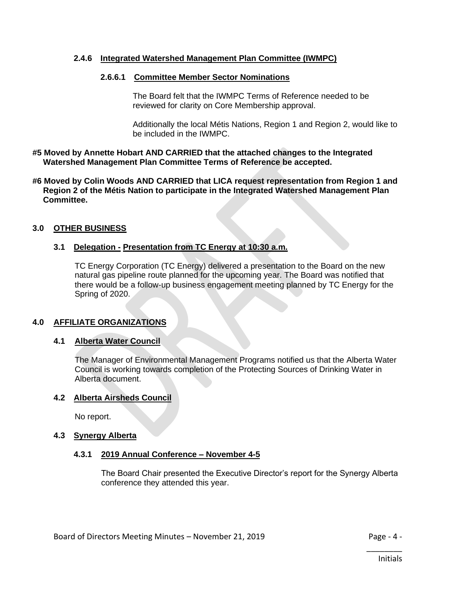## **2.4.6 Integrated Watershed Management Plan Committee (IWMPC)**

## **2.6.6.1 Committee Member Sector Nominations**

The Board felt that the IWMPC Terms of Reference needed to be reviewed for clarity on Core Membership approval.

Additionally the local Métis Nations, Region 1 and Region 2, would like to be included in the IWMPC.

#### **#5 Moved by Annette Hobart AND CARRIED that the attached changes to the Integrated Watershed Management Plan Committee Terms of Reference be accepted.**

#### **#6 Moved by Colin Woods AND CARRIED that LICA request representation from Region 1 and Region 2 of the Métis Nation to participate in the Integrated Watershed Management Plan Committee.**

## **3.0 OTHER BUSINESS**

## **3.1 Delegation - Presentation from TC Energy at 10:30 a.m.**

TC Energy Corporation (TC Energy) delivered a presentation to the Board on the new natural gas pipeline route planned for the upcoming year. The Board was notified that there would be a follow-up business engagement meeting planned by TC Energy for the Spring of 2020.

## **4.0 AFFILIATE ORGANIZATIONS**

#### **4.1 Alberta Water Council**

The Manager of Environmental Management Programs notified us that the Alberta Water Council is working towards completion of the Protecting Sources of Drinking Water in Alberta document.

## **4.2 Alberta Airsheds Council**

No report.

## **4.3 Synergy Alberta**

#### **4.3.1 2019 Annual Conference – November 4-5**

The Board Chair presented the Executive Director's report for the Synergy Alberta conference they attended this year.